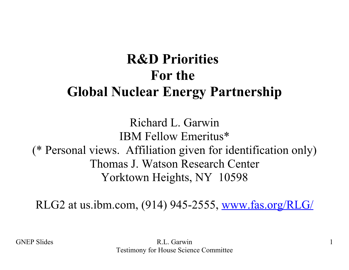## **R&D Priorities For the Global Nuclear Energy Partnership**

Richard L. Garwin IBM Fellow Emeritus\* (\* Personal views. Affiliation given for identification only) Thomas J. Watson Research Center Yorktown Heights, NY 10598

RLG2 at us.ibm.com, (914) 945-2555, [www.fas.org/RLG/](http://www.fas.org/RLG/)

GNEP Slides R.L. Garwin 1 Testimony for House Science Committee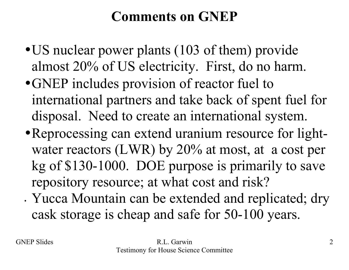## **Comments on GNEP**

- US nuclear power plants (103 of them) provide almost 20% of US electricity. First, do no harm.
- •GNEP includes provision of reactor fuel to international partners and take back of spent fuel for disposal. Need to create an international system.
- •Reprocessing can extend uranium resource for lightwater reactors (LWR) by 20% at most, at a cost per kg of \$130-1000. DOE purpose is primarily to save repository resource; at what cost and risk?
- Yucca Mountain can be extended and replicated; dry cask storage is cheap and safe for 50-100 years.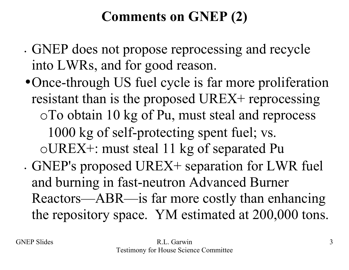## **Comments on GNEP (2)**

- GNEP does not propose reprocessing and recycle into LWRs, and for good reason.
- •Once-through US fuel cycle is far more proliferation resistant than is the proposed UREX+ reprocessing oTo obtain 10 kg of Pu, must steal and reprocess 1000 kg of self-protecting spent fuel; vs. oUREX+: must steal 11 kg of separated Pu
- GNEP's proposed UREX+ separation for LWR fuel and burning in fast-neutron Advanced Burner Reactors—ABR—is far more costly than enhancing the repository space. YM estimated at 200,000 tons.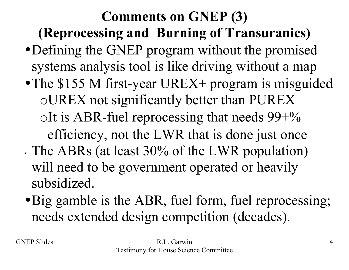# **Comments on GNEP (3) (Reprocessing and Burning of Transuranics)**

- •Defining the GNEP program without the promised systems analysis tool is like driving without a map
- The \$155 M first-year UREX+ program is misguided oUREX not significantly better than PUREX oIt is ABR-fuel reprocessing that needs  $99+%$ efficiency, not the LWR that is done just once
- The ABRs (at least 30% of the LWR population) will need to be government operated or heavily subsidized.
- Big gamble is the ABR, fuel form, fuel reprocessing; needs extended design competition (decades).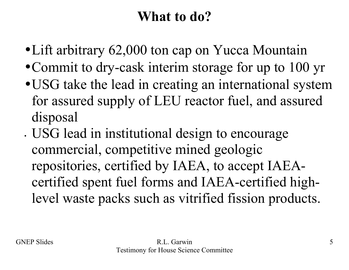## **What to do?**

- Lift arbitrary 62,000 ton cap on Yucca Mountain
- Commit to dry-cask interim storage for up to 100 yr
- •USG take the lead in creating an international system for assured supply of LEU reactor fuel, and assured disposal
- USG lead in institutional design to encourage commercial, competitive mined geologic repositories, certified by IAEA, to accept IAEAcertified spent fuel forms and IAEA-certified highlevel waste packs such as vitrified fission products.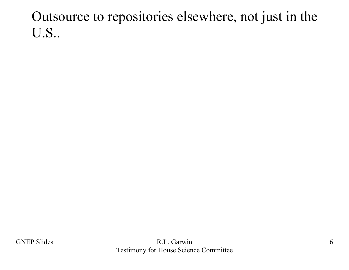#### Outsource to repositories elsewhere, not just in the U.S..

GNEP Slides 6 Testimony for House Science Committee